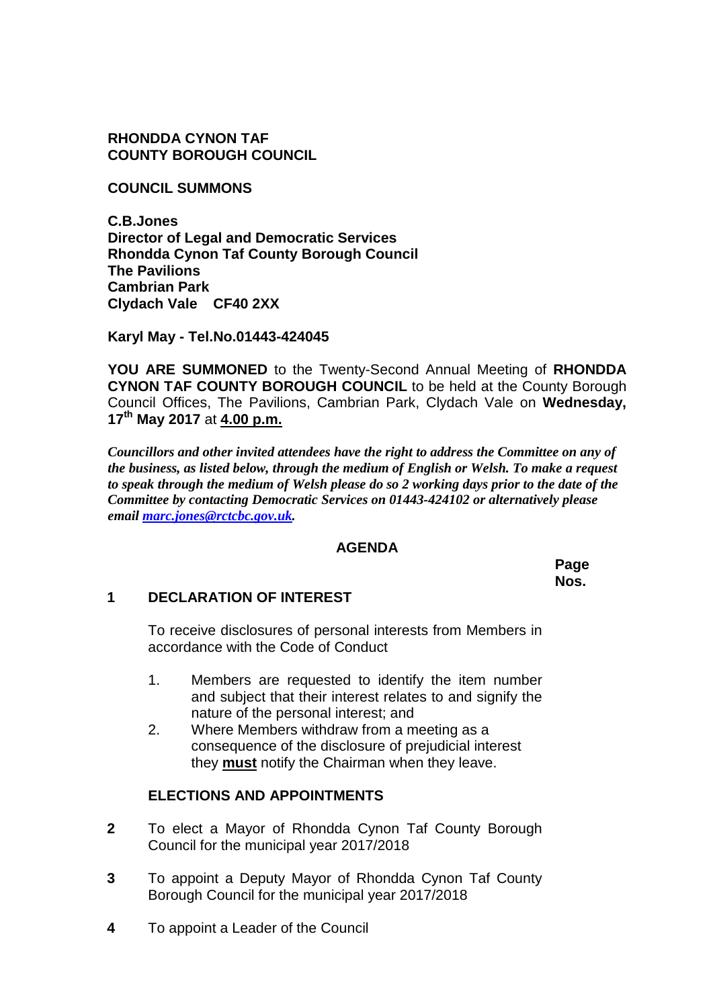**RHONDDA CYNON TAF COUNTY BOROUGH COUNCIL**

**COUNCIL SUMMONS**

**C.B.Jones Director of Legal and Democratic Services Rhondda Cynon Taf County Borough Council The Pavilions Cambrian Park Clydach Vale CF40 2XX**

**Karyl May - Tel.No.01443-424045**

**YOU ARE SUMMONED** to the Twenty-Second Annual Meeting of **RHONDDA CYNON TAF COUNTY BOROUGH COUNCIL** to be held at the County Borough Council Offices, The Pavilions, Cambrian Park, Clydach Vale on **Wednesday, 17th May 2017** at **4.00 p.m.**

*Councillors and other invited attendees have the right to address the Committee on any of the business, as listed below, through the medium of English or Welsh. To make a request to speak through the medium of Welsh please do so 2 working days prior to the date of the Committee by contacting Democratic Services on 01443-424102 or alternatively please email [marc.jones@rctcbc.gov.uk.](mailto:marc.jones@rctcbc.gov.uk)*

#### **AGENDA**

**Page Nos.**

## **1 DECLARATION OF INTEREST**

To receive disclosures of personal interests from Members in accordance with the Code of Conduct

- 1. Members are requested to identify the item number and subject that their interest relates to and signify the nature of the personal interest; and
- 2. Where Members withdraw from a meeting as a consequence of the disclosure of prejudicial interest they **must** notify the Chairman when they leave.

## **ELECTIONS AND APPOINTMENTS**

- **2** To elect a Mayor of Rhondda Cynon Taf County Borough Council for the municipal year 2017/2018
- **3** To appoint a Deputy Mayor of Rhondda Cynon Taf County Borough Council for the municipal year 2017/2018
- **4** To appoint a Leader of the Council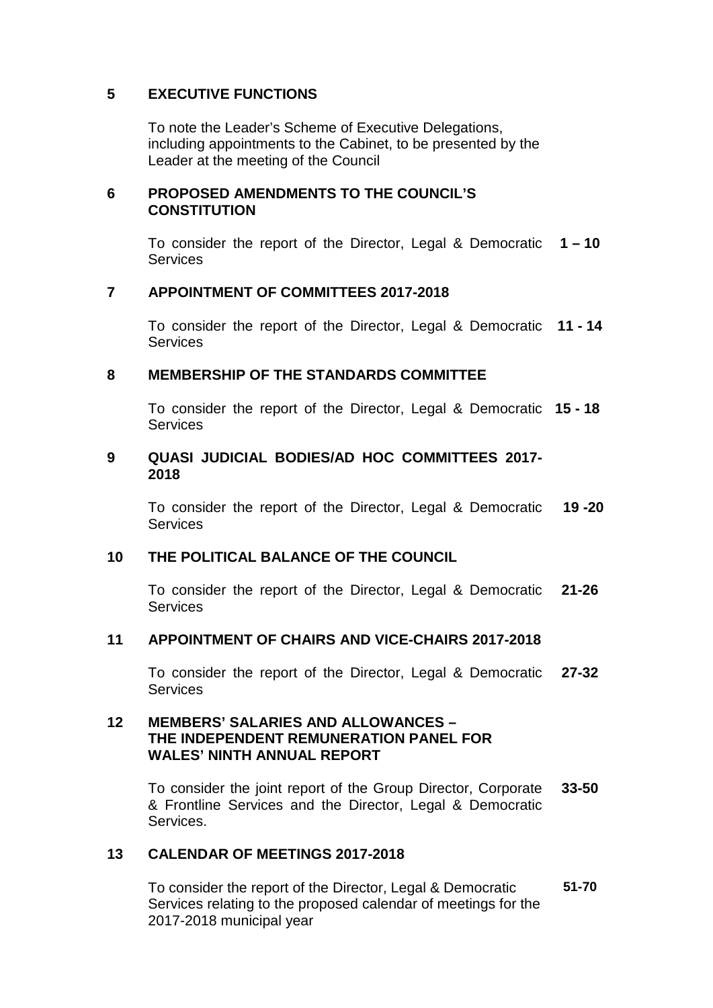# **5 EXECUTIVE FUNCTIONS**

To note the Leader's Scheme of Executive Delegations, including appointments to the Cabinet, to be presented by the Leader at the meeting of the Council

## **6 PROPOSED AMENDMENTS TO THE COUNCIL'S CONSTITUTION**

To consider the report of the Director, Legal & Democratic **1 – 10 Services** 

#### **7 APPOINTMENT OF COMMITTEES 2017-2018**

To consider the report of the Director, Legal & Democratic **11 - 14 Services** 

#### **8 MEMBERSHIP OF THE STANDARDS COMMITTEE**

To consider the report of the Director, Legal & Democratic **15 - 18 Services** 

#### **9 QUASI JUDICIAL BODIES/AD HOC COMMITTEES 2017- 2018**

To consider the report of the Director, Legal & Democratic Services **19 -20**

#### **10 THE POLITICAL BALANCE OF THE COUNCIL**

To consider the report of the Director, Legal & Democratic Services **21-26**

#### **11 APPOINTMENT OF CHAIRS AND VICE-CHAIRS 2017-2018**

To consider the report of the Director, Legal & Democratic **Services 27-32**

## **12 MEMBERS' SALARIES AND ALLOWANCES – THE INDEPENDENT REMUNERATION PANEL FOR WALES' NINTH ANNUAL REPORT**

To consider the joint report of the Group Director, Corporate & Frontline Services and the Director, Legal & Democratic Services. **33-50**

## **13 CALENDAR OF MEETINGS 2017-2018**

To consider the report of the Director, Legal & Democratic Services relating to the proposed calendar of meetings for the 2017-2018 municipal year **51-70**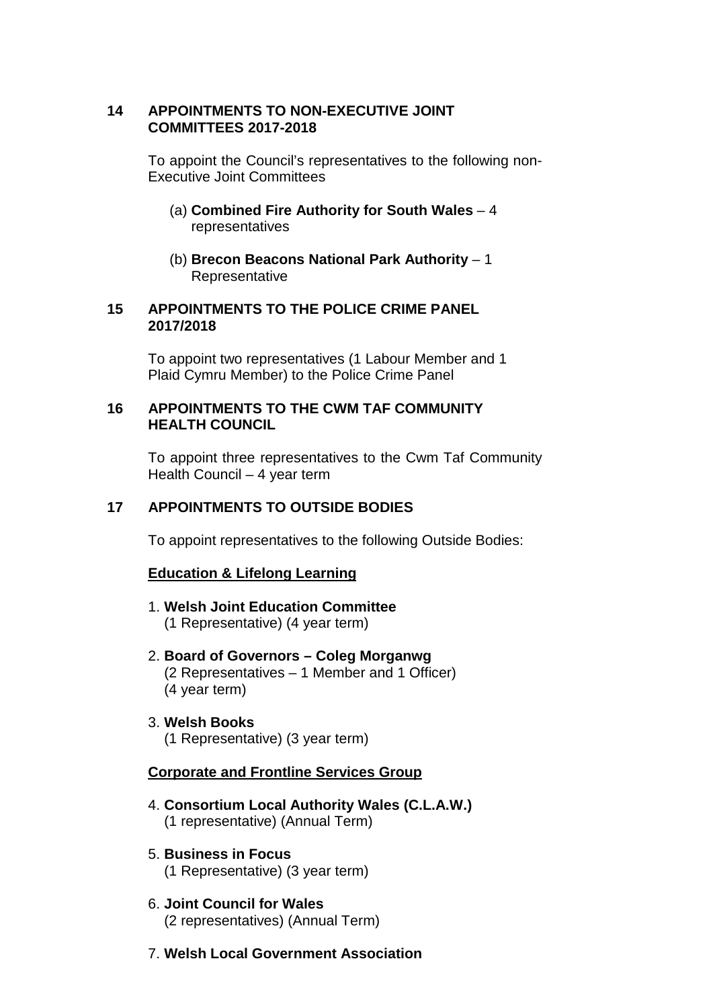## **14 APPOINTMENTS TO NON-EXECUTIVE JOINT COMMITTEES 2017-2018**

To appoint the Council's representatives to the following non-Executive Joint Committees

- (a) **Combined Fire Authority for South Wales** 4 representatives
- (b) **Brecon Beacons National Park Authority** 1 **Representative**

#### **15 APPOINTMENTS TO THE POLICE CRIME PANEL 2017/2018**

To appoint two representatives (1 Labour Member and 1 Plaid Cymru Member) to the Police Crime Panel

## **16 APPOINTMENTS TO THE CWM TAF COMMUNITY HEALTH COUNCIL**

To appoint three representatives to the Cwm Taf Community Health Council – 4 year term

# **17 APPOINTMENTS TO OUTSIDE BODIES**

To appoint representatives to the following Outside Bodies:

## **Education & Lifelong Learning**

- 1. **Welsh Joint Education Committee** (1 Representative) (4 year term)
- 2. **Board of Governors – Coleg Morganwg** (2 Representatives – 1 Member and 1 Officer) (4 year term)
- 3. **Welsh Books** (1 Representative) (3 year term)

## **Corporate and Frontline Services Group**

- 4. **Consortium Local Authority Wales (C.L.A.W.)**  (1 representative) (Annual Term)
- 5. **Business in Focus** (1 Representative) (3 year term)
- 6. **Joint Council for Wales** (2 representatives) (Annual Term)
- 7. **Welsh Local Government Association**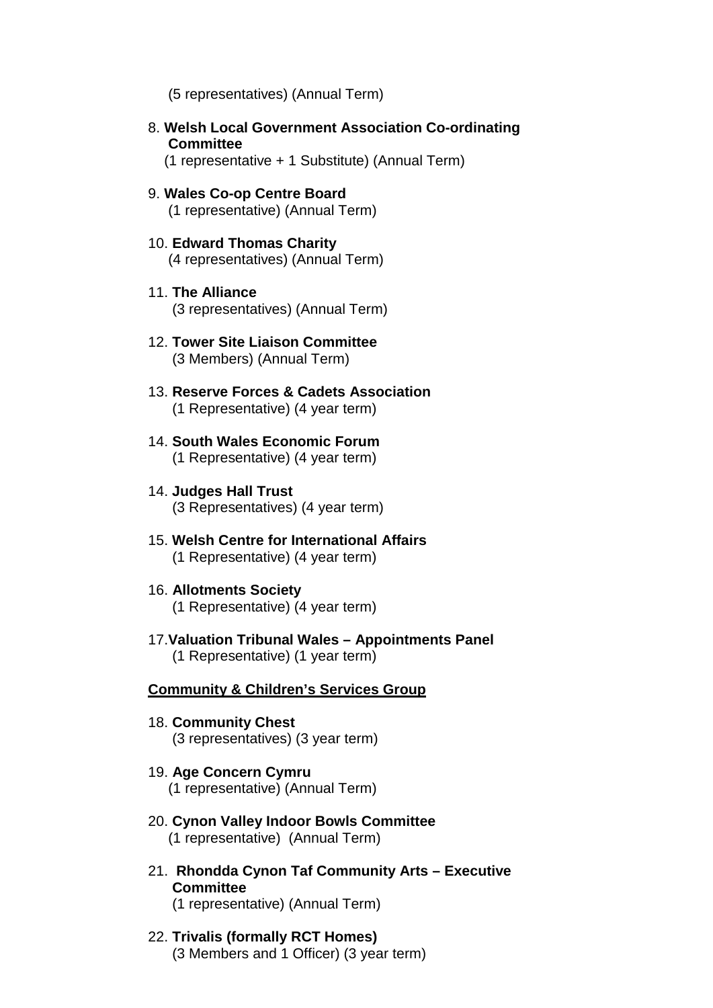(5 representatives) (Annual Term)

8. **Welsh Local Government Association Co-ordinating Committee**

(1 representative + 1 Substitute) (Annual Term)

- 9. **Wales Co-op Centre Board** (1 representative) (Annual Term)
- 10. **Edward Thomas Charity** (4 representatives) (Annual Term)
- 11. **The Alliance**  (3 representatives) (Annual Term)
- 12. **Tower Site Liaison Committee** (3 Members) (Annual Term)
- 13. **Reserve Forces & Cadets Association** (1 Representative) (4 year term)
- 14. **South Wales Economic Forum** (1 Representative) (4 year term)
- 14. **Judges Hall Trust** (3 Representatives) (4 year term)
- 15. **Welsh Centre for International Affairs** (1 Representative) (4 year term)
- 16. **Allotments Society** (1 Representative) (4 year term)
- 17.**Valuation Tribunal Wales – Appointments Panel** (1 Representative) (1 year term)

#### **Community & Children's Services Group**

- 18. **Community Chest** (3 representatives) (3 year term)
- 19. **Age Concern Cymru** (1 representative) (Annual Term)
- 20. **Cynon Valley Indoor Bowls Committee**  (1 representative) (Annual Term)
- 21. **Rhondda Cynon Taf Community Arts – Executive Committee** (1 representative) (Annual Term)
- 22. **Trivalis (formally RCT Homes)** (3 Members and 1 Officer) (3 year term)